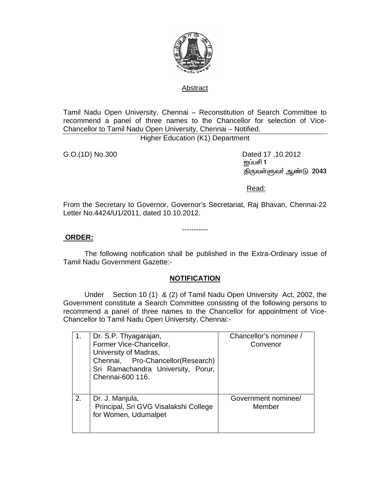

#### Abstract

Tamil Nadu Open University, Chennai – Reconstitution of Search Committee to recommend a panel of three names to the Chancellor for selection of Vice-Chancellor to Tamil Nadu Open University, Chennai – Notified.

Higher Education (K1) Department

G.O.(1D) No.300 Dated 17 .10.2012 <u>ஐப்ப</u>சி 1 திருவள்ளுவர் ஆண்டு 2043

<u>Read: Album and Album and Album and Album and Album and Album and Album and Album and Album and Album and Albu</u>

From the Secretary to Governor, Governor's Secretariat, Raj Bhavan, Chennai-22 Letter No.4424/U1/2011, dated 10.10.2012.

-----------

#### **ORDER:**

 The following notification shall be published in the Extra-Ordinary issue of Tamil Nadu Government Gazette:-

### **NOTIFICATION**

 Under Section 10 (1) & (2) of Tamil Nadu Open University Act, 2002, the Government constitute a Search Committee consisting of the following persons to recommend a panel of three names to the Chancellor for appointment of Vice-Chancellor to Tamil Nadu Open University, Chennai:-

| 1. | Dr. S.P. Thyagarajan,<br>Former Vice-Chancellor,<br>University of Madras,<br>Chennai, Pro-Chancellor(Research)<br>Sri Ramachandra University, Porur,<br>Chennai-600 116. | Chancellor's nominee /<br>Convenor |
|----|--------------------------------------------------------------------------------------------------------------------------------------------------------------------------|------------------------------------|
| 2. | Dr. J. Manjula,<br>Principal, Sri GVG Visalakshi College<br>for Women, Udumalpet                                                                                         | Government nominee/<br>Member      |